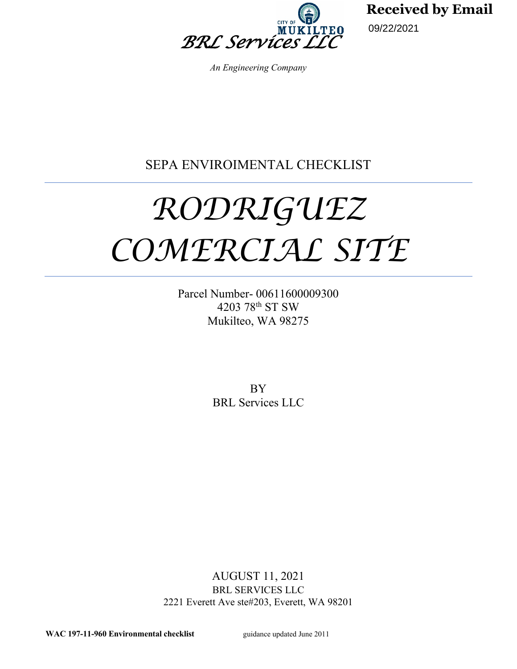

**Received by Email**

09/22/2021

*An Engineering Company*

# SEPA ENVIROIMENTAL CHECKLIST

# *RODRIGUEZ COMERCIAL SITE*

Parcel Number- 00611600009300 4203 78th ST SW Mukilteo, WA 98275

> BY BRL Services LLC

AUGUST 11, 2021 BRL SERVICES LLC 2221 Everett Ave ste#203, Everett, WA 98201

WAC 197-11-960 **Environmental checklist** guidance updated June 2011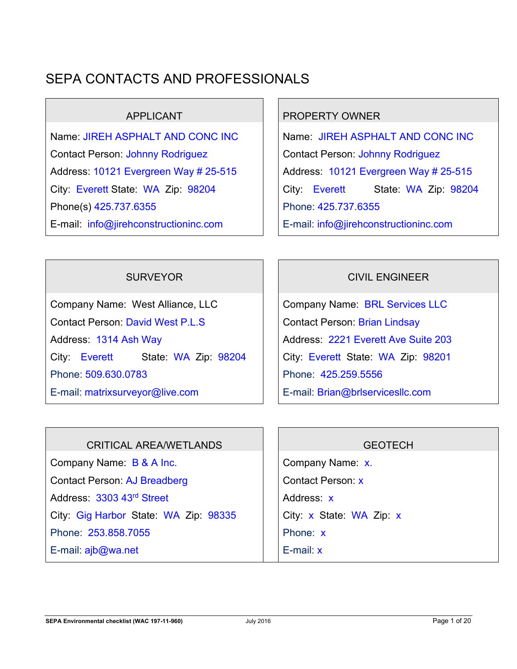# SEPA CONTACTS AND PROFESSIONALS

Name: JIREH ASPHALT AND CONC INC Norme: JIREH ASPHALT AND CONC INC Contact Person: Johnny Rodriguez | Contact Person: Johnny Rodriguez Address: 10121 Evergreen Way # 25-515 | | Address: 10121 Evergreen Way # 25-515 Phone(s) 425.737.6355 E-mail: info@jirehconstructioninc.com

# APPLICANT RESERVED APPLICANT

City: Everett State: WA Zip: 98204 | City: Everett State: WA Zip: 98204 Phone: 425.737.6355 E-mail: info@jirehconstructioninc.com

Company Name: West Alliance, LLC Company Name: BRL Services LLC Contact Person: David West P.L.S Contact Person: Brian Lindsay Address: 1314 Ash Way Address: 2221 Everett Ave Suite 203 City: Everett State: WA Zip: 98204 Phone: 509.630.0783 E-mail: matrixsurveyor@live.com

# SURVEYOR **CIVIL ENGINEER**

City: Everett State: WA Zip: 98201 Phone: 425.259.5556 E-mail: Brian@brlservicesllc.com

# CRITICAL AREA/WETLANDS THE RESERVE GEOTECH

Company Name: B & A Inc. Company Name: x. Contact Person: AJ Breadberg **Contact Person: x** Address: 3303 43<sup>rd</sup> Street Address: x City: Gig Harbor State: WA Zip:  $98335$  | City: x State: WA Zip: x Phone: 253.858.7055

E-mail: ajb@wa.net

Phone: x E-mail: x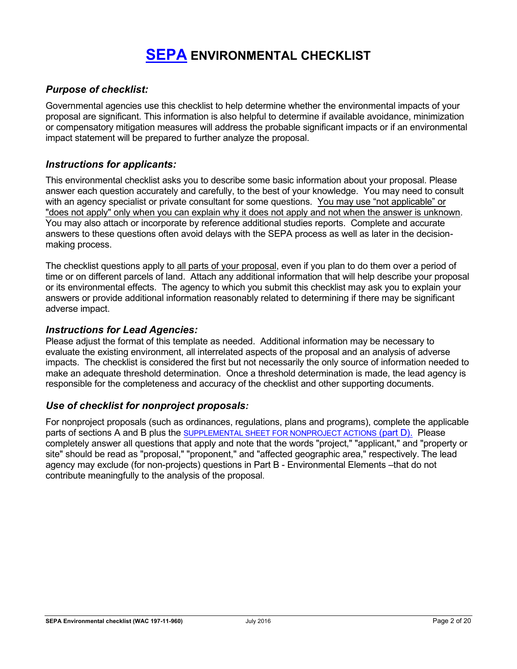# **[SEPA](https://ecology.wa.gov/Regulations-Permits/SEPA/Environmental-review/SEPA-guidance/Checklist-guidance) ENVIRONMENTAL CHECKLIST**

#### *Purpose of checklist:*

Governmental agencies use this checklist to help determine whether the environmental impacts of your proposal are significant. This information is also helpful to determine if available avoidance, minimization or compensatory mitigation measures will address the probable significant impacts or if an environmental impact statement will be prepared to further analyze the proposal.

#### *Instructions for applicants:*

This environmental checklist asks you to describe some basic information about your proposal. Please answer each question accurately and carefully, to the best of your knowledge. You may need to consult with an agency specialist or private consultant for some questions. You may use "not applicable" or "does not apply" only when you can explain why it does not apply and not when the answer is unknown. You may also attach or incorporate by reference additional studies reports. Complete and accurate answers to these questions often avoid delays with the SEPA process as well as later in the decisionmaking process.

The checklist questions apply to all parts of your proposal, even if you plan to do them over a period of time or on different parcels of land. Attach any additional information that will help describe your proposal or its environmental effects. The agency to which you submit this checklist may ask you to explain your answers or provide additional information reasonably related to determining if there may be significant adverse impact.

#### *Instructions for Lead Agencies:*

Please adjust the format of this template as needed. Additional information may be necessary to evaluate the existing environment, all interrelated aspects of the proposal and an analysis of adverse impacts. The checklist is considered the first but not necessarily the only source of information needed to make an adequate threshold determination. Once a threshold determination is made, the lead agency is responsible for the completeness and accuracy of the checklist and other supporting documents.

#### *Use of checklist for nonproject proposals:*

For nonproject proposals (such as ordinances, regulations, plans and programs), complete the applicable parts of sections A and B plus the SUPPLEMENTAL SHEET FOR NONPROJECT ACTIONS (part D). Please completely answer all questions that apply and note that the words "project," "applicant," and "property or site" should be read as "proposal," "proponent," and "affected geographic area," respectively. The lead agency may exclude (for non-projects) questions in Part B - Environmental Elements –that do not contribute meaningfully to the analysis of the proposal.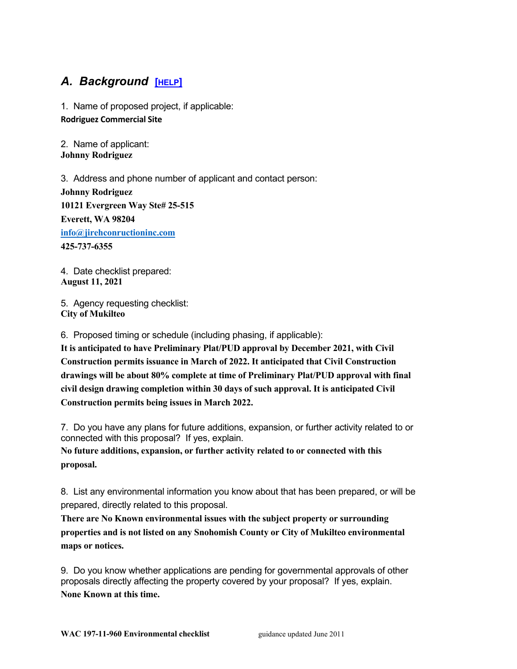# *A. Background* **[\[HELP\]](https://ecology.wa.gov/Regulations-Permits/SEPA/Environmental-review/SEPA-guidance/SEPA-checklist-guidance/SEPA-Checklist-Section-A-Background)**

1. Name of proposed project, if applicable: **Rodriguez Commercial Site**

2. Name of applicant: **Johnny Rodriguez**

3. Address and phone number of applicant and contact person: **Johnny Rodriguez 10121 Evergreen Way Ste# 25-515 Everett, WA 98204 [info@jirehconructioninc.com](mailto:info@jirehconructioninc.com) 425-737-6355**

4. Date checklist prepared: **August 11, 2021**

5. Agency requesting checklist: **City of Mukilteo**

6. Proposed timing or schedule (including phasing, if applicable):

**It is anticipated to have Preliminary Plat/PUD approval by December 2021, with Civil Construction permits issuance in March of 2022. It anticipated that Civil Construction drawings will be about 80% complete at time of Preliminary Plat/PUD approval with final civil design drawing completion within 30 days of such approval. It is anticipated Civil Construction permits being issues in March 2022.**

7. Do you have any plans for future additions, expansion, or further activity related to or connected with this proposal? If yes, explain.

**No future additions, expansion, or further activity related to or connected with this proposal.**

8. List any environmental information you know about that has been prepared, or will be prepared, directly related to this proposal.

**There are No Known environmental issues with the subject property or surrounding properties and is not listed on any Snohomish County or City of Mukilteo environmental maps or notices.**

9. Do you know whether applications are pending for governmental approvals of other proposals directly affecting the property covered by your proposal? If yes, explain. **None Known at this time.**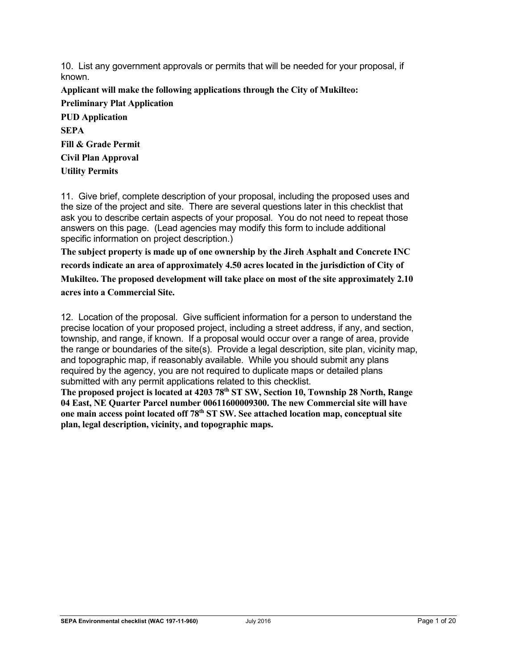10. List any government approvals or permits that will be needed for your proposal, if known.

**Applicant will make the following applications through the City of Mukilteo: Preliminary Plat Application PUD Application SEPA Fill & Grade Permit Civil Plan Approval Utility Permits**

11. Give brief, complete description of your proposal, including the proposed uses and the size of the project and site. There are several questions later in this checklist that ask you to describe certain aspects of your proposal. You do not need to repeat those answers on this page. (Lead agencies may modify this form to include additional specific information on project description.)

**The subject property is made up of one ownership by the Jireh Asphalt and Concrete INC records indicate an area of approximately 4.50 acres located in the jurisdiction of City of Mukilteo. The proposed development will take place on most of the site approximately 2.10 acres into a Commercial Site.** 

12. Location of the proposal. Give sufficient information for a person to understand the precise location of your proposed project, including a street address, if any, and section, township, and range, if known. If a proposal would occur over a range of area, provide the range or boundaries of the site(s). Provide a legal description, site plan, vicinity map, and topographic map, if reasonably available. While you should submit any plans required by the agency, you are not required to duplicate maps or detailed plans submitted with any permit applications related to this checklist.

**The proposed project is located at 4203 78th ST SW, Section 10, Township 28 North, Range 04 East, NE Quarter Parcel number 00611600009300. The new Commercial site will have one main access point located off 78th ST SW. See attached location map, conceptual site plan, legal description, vicinity, and topographic maps.**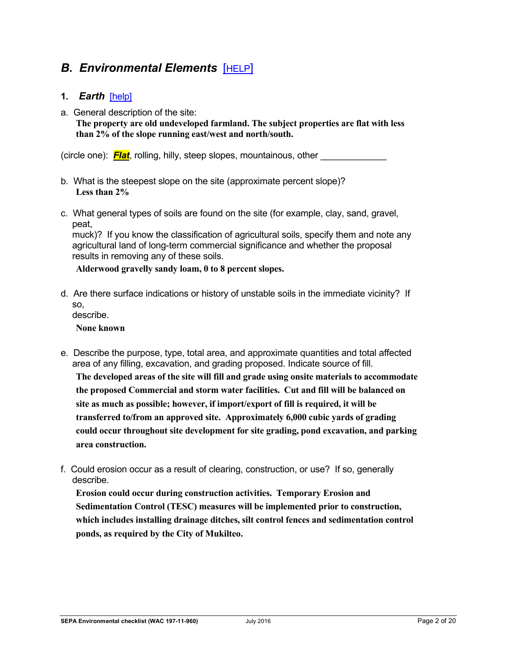# **B. Environmental Elements [\[HELP\]](https://ecology.wa.gov/Regulations-Permits/SEPA/Environmental-review/SEPA-guidance/SEPA-checklist-guidance/SEPA-Checklist-Section-B-Environmental-elements)**

#### **1.** *Earth*[\[help\]](https://ecology.wa.gov/Regulations-Permits/SEPA/Environmental-review/SEPA-guidance/SEPA-checklist-guidance/SEPA-Checklist-Section-B-Environmental-elements/Environmental-elements-Earth)

a. General description of the site:

**The property are old undeveloped farmland. The subject properties are flat with less than 2% of the slope running east/west and north/south.** 

(circle one): **Flat**, rolling, hilly, steep slopes, mountainous, other

- b. What is the steepest slope on the site (approximate percent slope)? **Less than 2%**
- c. What general types of soils are found on the site (for example, clay, sand, gravel, peat,

muck)? If you know the classification of agricultural soils, specify them and note any agricultural land of long-term commercial significance and whether the proposal results in removing any of these soils.

**Alderwood gravelly sandy loam, 0 to 8 percent slopes.**

d. Are there surface indications or history of unstable soils in the immediate vicinity? If so, describe.

**None known**

- e. Describe the purpose, type, total area, and approximate quantities and total affected area of any filling, excavation, and grading proposed. Indicate source of fill. **The developed areas of the site will fill and grade using onsite materials to accommodate the proposed Commercial and storm water facilities. Cut and fill will be balanced on site as much as possible; however, if import/export of fill is required, it will be transferred to/from an approved site. Approximately 6,000 cubic yards of grading could occur throughout site development for site grading, pond excavation, and parking area construction.**
- f. Could erosion occur as a result of clearing, construction, or use? If so, generally describe.

**Erosion could occur during construction activities. Temporary Erosion and Sedimentation Control (TESC) measures will be implemented prior to construction, which includes installing drainage ditches, silt control fences and sedimentation control ponds, as required by the City of Mukilteo.**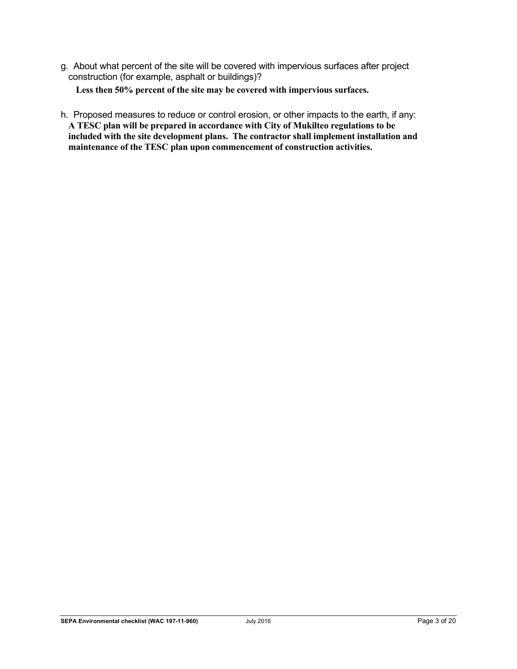g. About what percent of the site will be covered with impervious surfaces after project construction (for example, asphalt or buildings)?

**Less then 50% percent of the site may be covered with impervious surfaces.**

h. Proposed measures to reduce or control erosion, or other impacts to the earth, if any: **A TESC plan will be prepared in accordance with City of Mukilteo regulations to be included with the site development plans. The contractor shall implement installation and maintenance of the TESC plan upon commencement of construction activities.**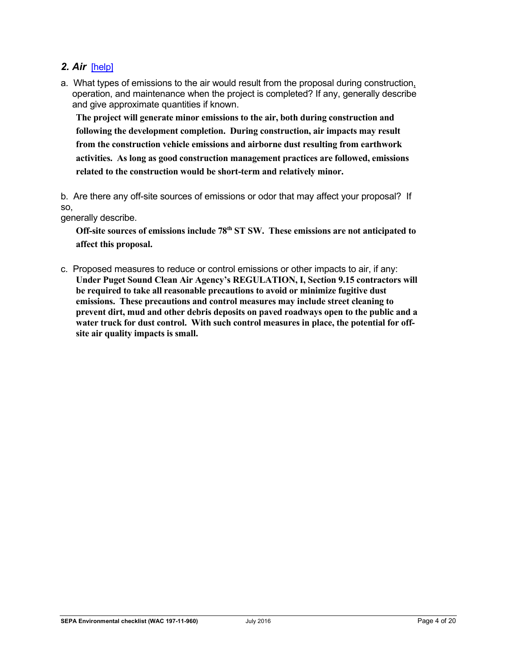#### *2. Air*[\[help\]](https://ecology.wa.gov/Regulations-Permits/SEPA/Environmental-review/SEPA-guidance/SEPA-checklist-guidance/SEPA-Checklist-Section-B-Environmental-elements/Environmental-elements-Air)

a. What types of emissions to the air would result from the proposal during construction, operation, and maintenance when the project is completed? If any, generally describe and give approximate quantities if known.

**The project will generate minor emissions to the air, both during construction and following the development completion. During construction, air impacts may result from the construction vehicle emissions and airborne dust resulting from earthwork activities. As long as good construction management practices are followed, emissions related to the construction would be short-term and relatively minor.**

b. Are there any off-site sources of emissions or odor that may affect your proposal? If so,

generally describe.

**Off-site sources of emissions include 78th ST SW. These emissions are not anticipated to affect this proposal.**

c. Proposed measures to reduce or control emissions or other impacts to air, if any: **Under Puget Sound Clean Air Agency's REGULATION, I, Section 9.15 contractors will be required to take all reasonable precautions to avoid or minimize fugitive dust emissions. These precautions and control measures may include street cleaning to prevent dirt, mud and other debris deposits on paved roadways open to the public and a water truck for dust control. With such control measures in place, the potential for offsite air quality impacts is small.**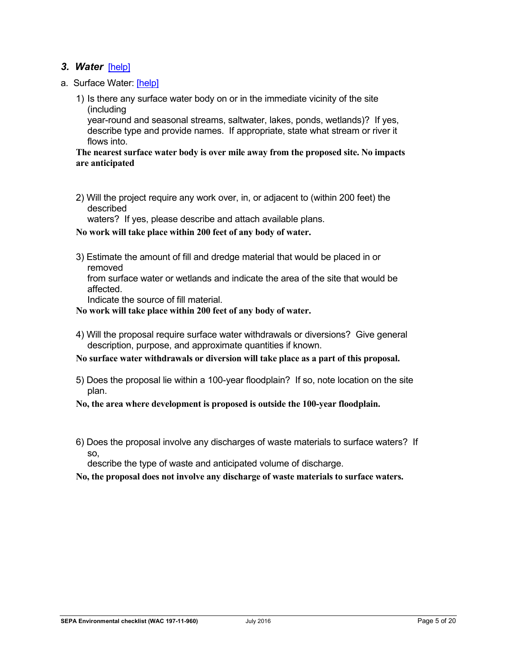#### *3. Water*[\[help\]](https://ecology.wa.gov/Regulations-Permits/SEPA/Environmental-review/SEPA-guidance/SEPA-checklist-guidance/SEPA-Checklist-Section-B-Environmental-elements/Environmental-elements-3-Water)

- a. Surface Water: [\[help\]](https://ecology.wa.gov/Regulations-Permits/SEPA/Environmental-review/SEPA-guidance/SEPA-checklist-guidance/SEPA-Checklist-Section-B-Environmental-elements/Environmental-elements-3-Water/Environmental-elements-Surface-water)
	- 1) Is there any surface water body on or in the immediate vicinity of the site (including

year-round and seasonal streams, saltwater, lakes, ponds, wetlands)? If yes, describe type and provide names. If appropriate, state what stream or river it flows into.

#### **The nearest surface water body is over mile away from the proposed site. No impacts are anticipated**

2) Will the project require any work over, in, or adjacent to (within 200 feet) the described

waters? If yes, please describe and attach available plans.

**No work will take place within 200 feet of any body of water.**

3) Estimate the amount of fill and dredge material that would be placed in or removed

from surface water or wetlands and indicate the area of the site that would be affected.

Indicate the source of fill material.

**No work will take place within 200 feet of any body of water.**

4) Will the proposal require surface water withdrawals or diversions? Give general description, purpose, and approximate quantities if known.

**No surface water withdrawals or diversion will take place as a part of this proposal.**

5) Does the proposal lie within a 100-year floodplain? If so, note location on the site plan.

**No, the area where development is proposed is outside the 100-year floodplain.**

6) Does the proposal involve any discharges of waste materials to surface waters? If so,

describe the type of waste and anticipated volume of discharge.

**No, the proposal does not involve any discharge of waste materials to surface waters.**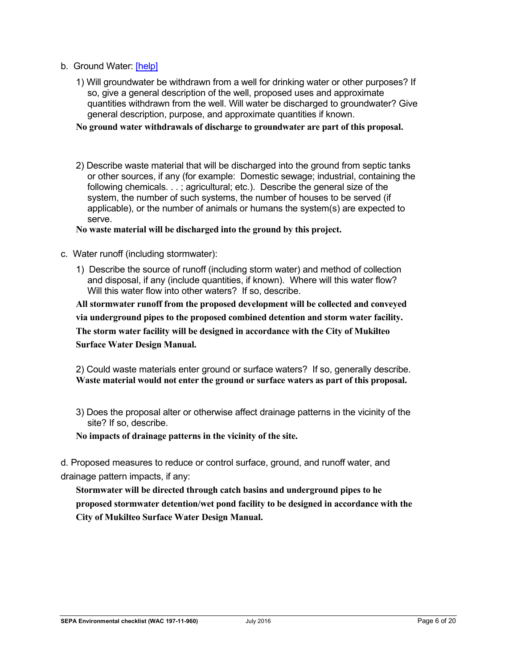- b. Ground Water: [\[help\]](https://ecology.wa.gov/Regulations-Permits/SEPA/Environmental-review/SEPA-guidance/SEPA-checklist-guidance/SEPA-Checklist-Section-B-Environmental-elements/Environmental-elements-3-Water/Environmental-elements-Groundwater)
	- 1) Will groundwater be withdrawn from a well for drinking water or other purposes? If so, give a general description of the well, proposed uses and approximate quantities withdrawn from the well. Will water be discharged to groundwater? Give general description, purpose, and approximate quantities if known.

**No ground water withdrawals of discharge to groundwater are part of this proposal.**

2) Describe waste material that will be discharged into the ground from septic tanks or other sources, if any (for example: Domestic sewage; industrial, containing the following chemicals. . . ; agricultural; etc.). Describe the general size of the system, the number of such systems, the number of houses to be served (if applicable), or the number of animals or humans the system(s) are expected to serve.

**No waste material will be discharged into the ground by this project.**

- c. Water runoff (including stormwater):
	- 1) Describe the source of runoff (including storm water) and method of collection and disposal, if any (include quantities, if known). Where will this water flow? Will this water flow into other waters? If so, describe.

**All stormwater runoff from the proposed development will be collected and conveyed via underground pipes to the proposed combined detention and storm water facility. The storm water facility will be designed in accordance with the City of Mukilteo Surface Water Design Manual.**

2) Could waste materials enter ground or surface waters? If so, generally describe. **Waste material would not enter the ground or surface waters as part of this proposal.**

3) Does the proposal alter or otherwise affect drainage patterns in the vicinity of the site? If so, describe.

**No impacts of drainage patterns in the vicinity of the site.**

d. Proposed measures to reduce or control surface, ground, and runoff water, and drainage pattern impacts, if any:

**Stormwater will be directed through catch basins and underground pipes to he proposed stormwater detention/wet pond facility to be designed in accordance with the City of Mukilteo Surface Water Design Manual.**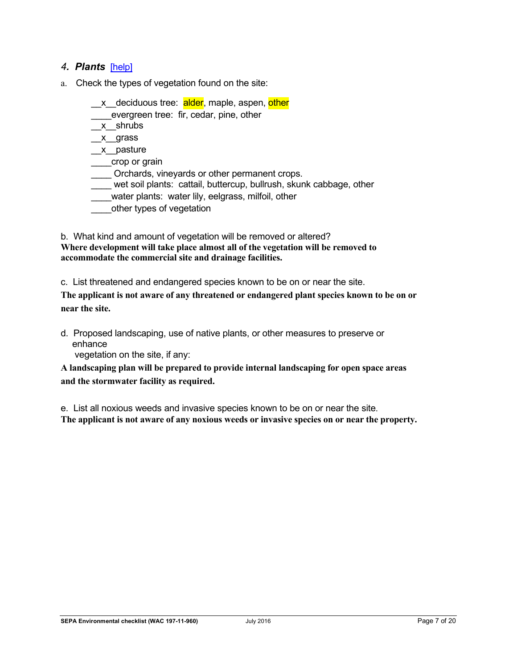#### *4. Plants*[\[help\]](https://ecology.wa.gov/Regulations-Permits/SEPA/Environmental-review/SEPA-guidance/SEPA-checklist-guidance/SEPA-Checklist-Section-B-Environmental-elements/Environmental-elements-4-Plants)

- a. Check the types of vegetation found on the site:
	- x deciduous tree: alder, maple, aspen, other \_\_\_\_evergreen tree: fir, cedar, pine, other \_\_x\_\_shrubs  $x$ grass \_\_x\_\_pasture
	- crop or grain
	- \_\_\_\_ Orchards, vineyards or other permanent crops.
	- \_\_\_\_ wet soil plants: cattail, buttercup, bullrush, skunk cabbage, other
	- water plants: water lily, eelgrass, milfoil, other
	- \_\_\_\_other types of vegetation

b. What kind and amount of vegetation will be removed or altered? **Where development will take place almost all of the vegetation will be removed to accommodate the commercial site and drainage facilities.**

c. List threatened and endangered species known to be on or near the site.

**The applicant is not aware of any threatened or endangered plant species known to be on or near the site.**

d. Proposed landscaping, use of native plants, or other measures to preserve or enhance

vegetation on the site, if any:

**A landscaping plan will be prepared to provide internal landscaping for open space areas and the stormwater facility as required.**

e. List all noxious weeds and invasive species known to be on or near the site. **The applicant is not aware of any noxious weeds or invasive species on or near the property.**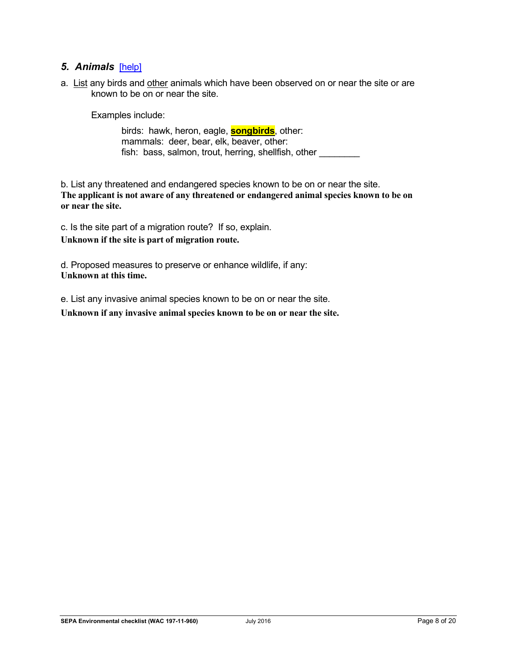#### *5. Animals*[\[help\]](https://ecology.wa.gov/Regulations-Permits/SEPA/Environmental-review/SEPA-guidance/SEPA-checklist-guidance/SEPA-Checklist-Section-B-Environmental-elements/Environmental-elements-5-Animals)

a. List any birds and other animals which have been observed on or near the site or are known to be on or near the site.

Examples include:

birds: hawk, heron, eagle, **songbirds**, other: mammals: deer, bear, elk, beaver, other: fish: bass, salmon, trout, herring, shellfish, other

b. List any threatened and endangered species known to be on or near the site. **The applicant is not aware of any threatened or endangered animal species known to be on or near the site.**

c. Is the site part of a migration route? If so, explain.

**Unknown if the site is part of migration route.**

d. Proposed measures to preserve or enhance wildlife, if any: **Unknown at this time.**

e. List any invasive animal species known to be on or near the site.

**Unknown if any invasive animal species known to be on or near the site.**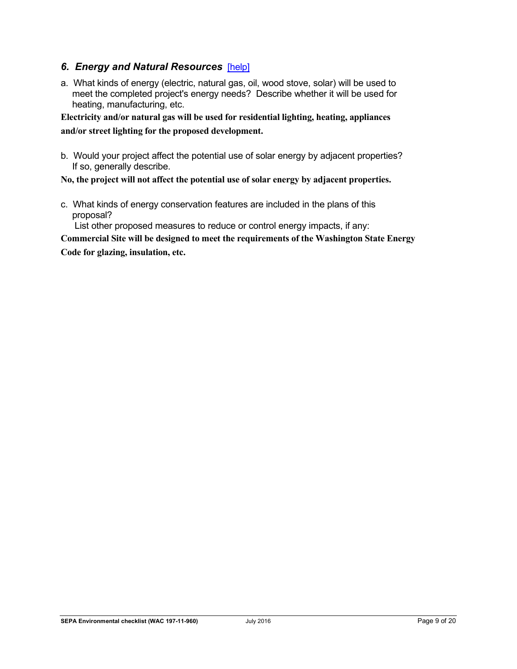#### *6. Energy and Natural Resources*[\[help\]](https://ecology.wa.gov/Regulations-Permits/SEPA/Environmental-review/SEPA-guidance/SEPA-checklist-guidance/SEPA-Checklist-Section-B-Environmental-elements/Environmental-elements-6-Energy-natural-resou)

a. What kinds of energy (electric, natural gas, oil, wood stove, solar) will be used to meet the completed project's energy needs? Describe whether it will be used for heating, manufacturing, etc.

**Electricity and/or natural gas will be used for residential lighting, heating, appliances and/or street lighting for the proposed development.**

b. Would your project affect the potential use of solar energy by adjacent properties? If so, generally describe.

**No, the project will not affect the potential use of solar energy by adjacent properties.**

c. What kinds of energy conservation features are included in the plans of this proposal?

List other proposed measures to reduce or control energy impacts, if any:

**Commercial Site will be designed to meet the requirements of the Washington State Energy** 

**Code for glazing, insulation, etc.**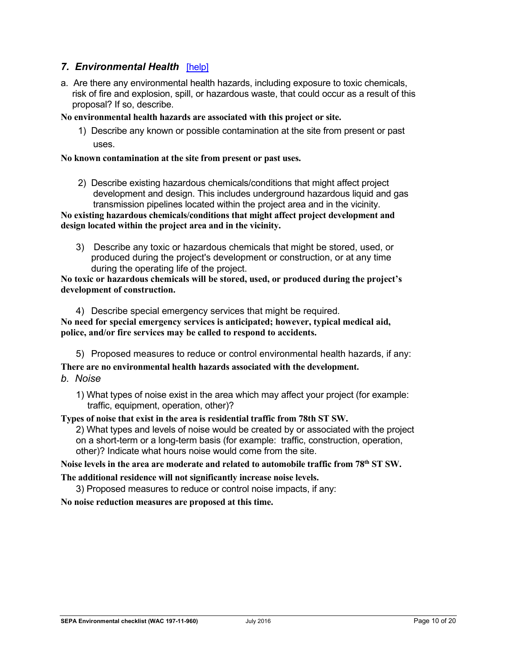#### **7. Environmental Health [\[help\]](https://ecology.wa.gov/Regulations-Permits/SEPA/Environmental-review/SEPA-guidance/SEPA-checklist-guidance/SEPA-Checklist-Section-B-Environmental-elements/Environmental-elements-7-Environmental-health)**

a. Are there any environmental health hazards, including exposure to toxic chemicals, risk of fire and explosion, spill, or hazardous waste, that could occur as a result of this proposal? If so, describe.

#### **No environmental health hazards are associated with this project or site.**

1) Describe any known or possible contamination at the site from present or past uses.

#### **No known contamination at the site from present or past uses.**

2) Describe existing hazardous chemicals/conditions that might affect project development and design. This includes underground hazardous liquid and gas transmission pipelines located within the project area and in the vicinity.

**No existing hazardous chemicals/conditions that might affect project development and design located within the project area and in the vicinity.**

3) Describe any toxic or hazardous chemicals that might be stored, used, or produced during the project's development or construction, or at any time during the operating life of the project.

**No toxic or hazardous chemicals will be stored, used, or produced during the project's development of construction.**

4) Describe special emergency services that might be required. **No need for special emergency services is anticipated; however, typical medical aid, police, and/or fire services may be called to respond to accidents.**

5) Proposed measures to reduce or control environmental health hazards, if any:

**There are no environmental health hazards associated with the development.**

- *b. Noise*
	- 1) What types of noise exist in the area which may affect your project (for example: traffic, equipment, operation, other)?

**Types of noise that exist in the area is residential traffic from 78th ST SW.** 

2) What types and levels of noise would be created by or associated with the project on a short-term or a long-term basis (for example: traffic, construction, operation,

other)? Indicate what hours noise would come from the site.

**Noise levels in the area are moderate and related to automobile traffic from 78th ST SW.** 

**The additional residence will not significantly increase noise levels.**

3) Proposed measures to reduce or control noise impacts, if any:

**No noise reduction measures are proposed at this time.**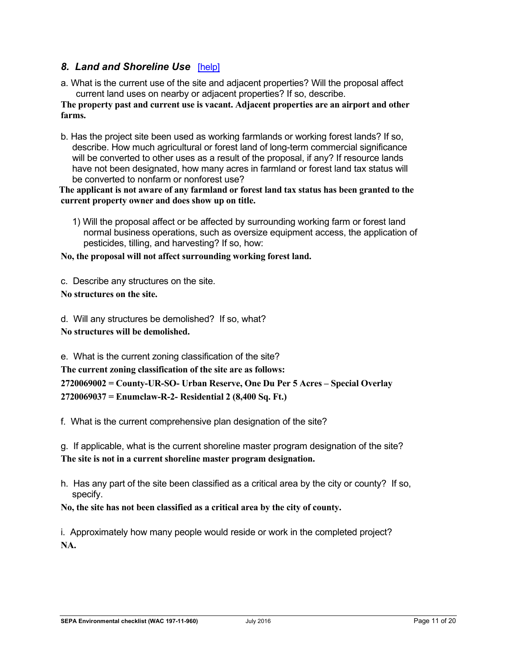### *8. Land and Shoreline Use*[\[help\]](https://ecology.wa.gov/Regulations-Permits/SEPA/Environmental-review/SEPA-guidance/SEPA-checklist-guidance/SEPA-Checklist-Section-B-Environmental-elements/Environmental-elements-8-Land-shoreline-use)

a. What is the current use of the site and adjacent properties? Will the proposal affect current land uses on nearby or adjacent properties? If so, describe.

**The property past and current use is vacant. Adjacent properties are an airport and other farms.**

b. Has the project site been used as working farmlands or working forest lands? If so, describe. How much agricultural or forest land of long-term commercial significance will be converted to other uses as a result of the proposal, if any? If resource lands have not been designated, how many acres in farmland or forest land tax status will be converted to nonfarm or nonforest use?

**The applicant is not aware of any farmland or forest land tax status has been granted to the current property owner and does show up on title.**

1) Will the proposal affect or be affected by surrounding working farm or forest land normal business operations, such as oversize equipment access, the application of pesticides, tilling, and harvesting? If so, how:

**No, the proposal will not affect surrounding working forest land.**

c. Describe any structures on the site.

**No structures on the site.** 

d. Will any structures be demolished? If so, what?

**No structures will be demolished.**

e. What is the current zoning classification of the site?

**The current zoning classification of the site are as follows:**

**2720069002 = County-UR-SO- Urban Reserve, One Du Per 5 Acres – Special Overlay 2720069037 = Enumclaw-R-2- Residential 2 (8,400 Sq. Ft.)**

f. What is the current comprehensive plan designation of the site?

g. If applicable, what is the current shoreline master program designation of the site? **The site is not in a current shoreline master program designation.**

h. Has any part of the site been classified as a critical area by the city or county? If so, specify.

**No, the site has not been classified as a critical area by the city of county.**

i. Approximately how many people would reside or work in the completed project? **NA.**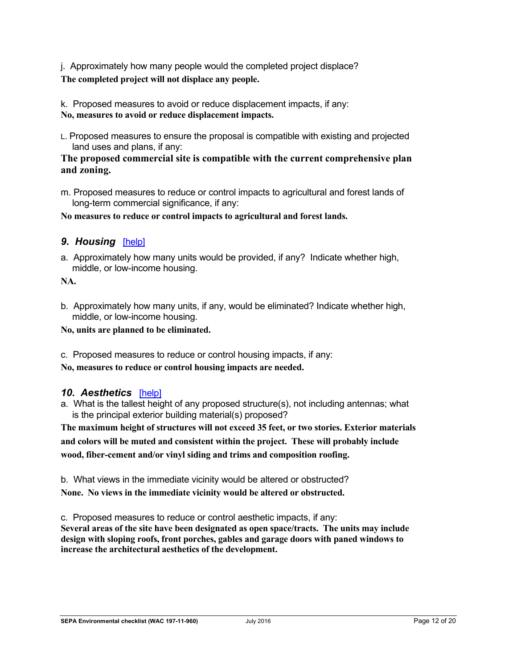j. Approximately how many people would the completed project displace? **The completed project will not displace any people.**

k. Proposed measures to avoid or reduce displacement impacts, if any: **No, measures to avoid or reduce displacement impacts.**

L. Proposed measures to ensure the proposal is compatible with existing and projected land uses and plans, if any:

#### **The proposed commercial site is compatible with the current comprehensive plan and zoning.**

m. Proposed measures to reduce or control impacts to agricultural and forest lands of long-term commercial significance, if any:

**No measures to reduce or control impacts to agricultural and forest lands.**

## *9. Housing*[\[help\]](https://ecology.wa.gov/Regulations-Permits/SEPA/Environmental-review/SEPA-guidance/SEPA-checklist-guidance/SEPA-Checklist-Section-B-Environmental-elements/Environmental-elements-9-Housing)

a. Approximately how many units would be provided, if any? Indicate whether high, middle, or low-income housing.

**NA.**

b. Approximately how many units, if any, would be eliminated? Indicate whether high, middle, or low-income housing.

**No, units are planned to be eliminated.** 

c. Proposed measures to reduce or control housing impacts, if any:

**No, measures to reduce or control housing impacts are needed.**

#### *10. Aesthetics*[\[help\]](https://ecology.wa.gov/Regulations-Permits/SEPA/Environmental-review/SEPA-guidance/SEPA-checklist-guidance/SEPA-Checklist-Section-B-Environmental-elements/Environmental-elements-10-Aesthetics)

a. What is the tallest height of any proposed structure(s), not including antennas; what is the principal exterior building material(s) proposed?

**The maximum height of structures will not exceed 35 feet, or two stories. Exterior materials and colors will be muted and consistent within the project. These will probably include wood, fiber-cement and/or vinyl siding and trims and composition roofing.**

b. What views in the immediate vicinity would be altered or obstructed? **None. No views in the immediate vicinity would be altered or obstructed.**

c. Proposed measures to reduce or control aesthetic impacts, if any: **Several areas of the site have been designated as open space/tracts. The units may include design with sloping roofs, front porches, gables and garage doors with paned windows to increase the architectural aesthetics of the development.**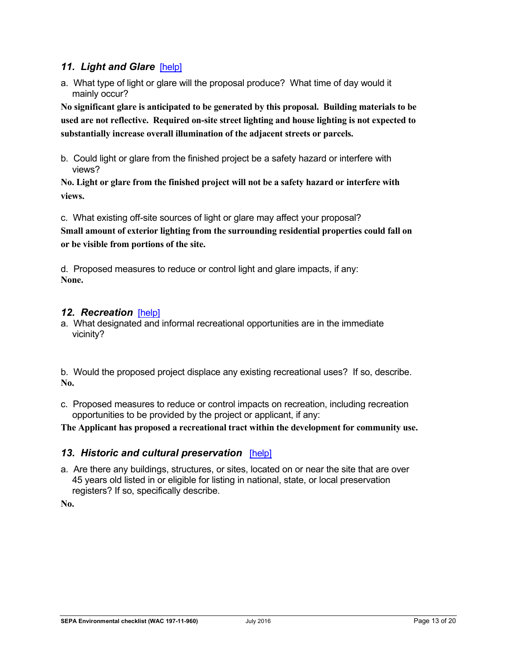#### *11. Light and Glare*[\[help\]](https://ecology.wa.gov/Regulations-Permits/SEPA/Environmental-review/SEPA-guidance/SEPA-checklist-guidance/SEPA-Checklist-Section-B-Environmental-elements/Environmental-elements-11-Light-glare)

a. What type of light or glare will the proposal produce? What time of day would it mainly occur?

**No significant glare is anticipated to be generated by this proposal. Building materials to be used are not reflective. Required on-site street lighting and house lighting is not expected to substantially increase overall illumination of the adjacent streets or parcels.**

b. Could light or glare from the finished project be a safety hazard or interfere with views?

**No. Light or glare from the finished project will not be a safety hazard or interfere with views.**

c. What existing off-site sources of light or glare may affect your proposal? **Small amount of exterior lighting from the surrounding residential properties could fall on or be visible from portions of the site.**

d. Proposed measures to reduce or control light and glare impacts, if any: **None.**

#### 12. Recreation [\[help\]](https://ecology.wa.gov/Regulations-Permits/SEPA/Environmental-review/SEPA-guidance/SEPA-checklist-guidance/SEPA-Checklist-Section-B-Environmental-elements/Environmental-elements-12-Recreation)

a. What designated and informal recreational opportunities are in the immediate vicinity?

b. Would the proposed project displace any existing recreational uses? If so, describe. **No.**

c. Proposed measures to reduce or control impacts on recreation, including recreation opportunities to be provided by the project or applicant, if any:

**The Applicant has proposed a recreational tract within the development for community use.**

#### *13. Historic and cultural preservation*[\[help\]](https://ecology.wa.gov/Regulations-Permits/SEPA/Environmental-review/SEPA-guidance/SEPA-checklist-guidance/SEPA-Checklist-Section-B-Environmental-elements/Environmental-elements-13-Historic-cultural-p)

a. Are there any buildings, structures, or sites, located on or near the site that are over 45 years old listed in or eligible for listing in national, state, or local preservation registers? If so, specifically describe.

**No.**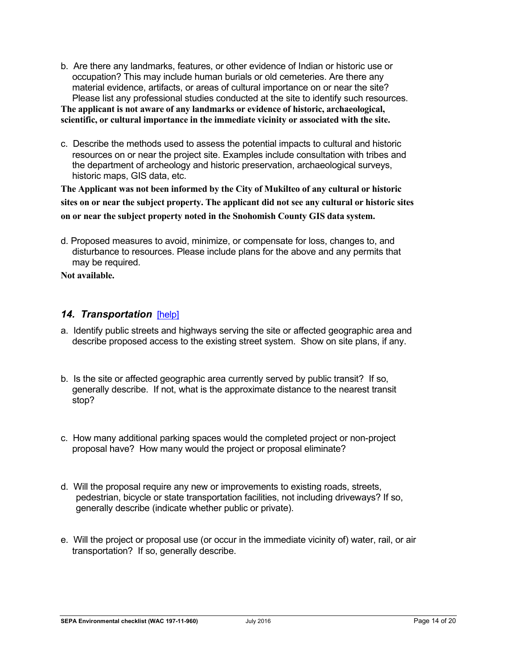b. Are there any landmarks, features, or other evidence of Indian or historic use or occupation? This may include human burials or old cemeteries. Are there any material evidence, artifacts, or areas of cultural importance on or near the site? Please list any professional studies conducted at the site to identify such resources.

**The applicant is not aware of any landmarks or evidence of historic, archaeological, scientific, or cultural importance in the immediate vicinity or associated with the site.**

c. Describe the methods used to assess the potential impacts to cultural and historic resources on or near the project site. Examples include consultation with tribes and the department of archeology and historic preservation, archaeological surveys, historic maps, GIS data, etc.

**The Applicant was not been informed by the City of Mukilteo of any cultural or historic sites on or near the subject property. The applicant did not see any cultural or historic sites on or near the subject property noted in the Snohomish County GIS data system.**

d. Proposed measures to avoid, minimize, or compensate for loss, changes to, and disturbance to resources. Please include plans for the above and any permits that may be required.

**Not available.** 

## *14. Transportation*[\[help\]](https://ecology.wa.gov/Regulations-Permits/SEPA/Environmental-review/SEPA-guidance/SEPA-checklist-guidance/SEPA-Checklist-Section-B-Environmental-elements/Environmental-elements-14-Transportation)

- a. Identify public streets and highways serving the site or affected geographic area and describe proposed access to the existing street system. Show on site plans, if any.
- b. Is the site or affected geographic area currently served by public transit? If so, generally describe. If not, what is the approximate distance to the nearest transit stop?
- c. How many additional parking spaces would the completed project or non-project proposal have? How many would the project or proposal eliminate?
- d. Will the proposal require any new or improvements to existing roads, streets, pedestrian, bicycle or state transportation facilities, not including driveways? If so, generally describe (indicate whether public or private).
- e. Will the project or proposal use (or occur in the immediate vicinity of) water, rail, or air transportation? If so, generally describe.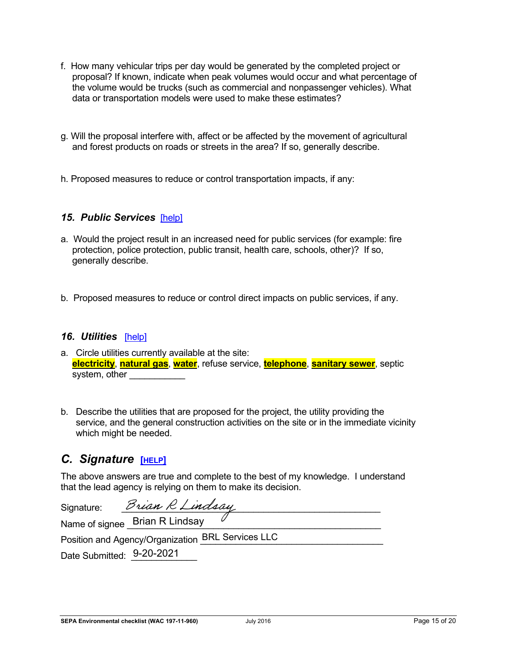- f. How many vehicular trips per day would be generated by the completed project or proposal? If known, indicate when peak volumes would occur and what percentage of the volume would be trucks (such as commercial and nonpassenger vehicles). What data or transportation models were used to make these estimates?
- g. Will the proposal interfere with, affect or be affected by the movement of agricultural and forest products on roads or streets in the area? If so, generally describe.
- h. Proposed measures to reduce or control transportation impacts, if any:

#### *15. Public Services*[\[help\]](https://ecology.wa.gov/Regulations-Permits/SEPA/Environmental-review/SEPA-guidance/SEPA-checklist-guidance/SEPA-Checklist-Section-B-Environmental-elements/Environmental-elements-15-Public-services)

- a. Would the project result in an increased need for public services (for example: fire protection, police protection, public transit, health care, schools, other)? If so, generally describe.
- b. Proposed measures to reduce or control direct impacts on public services, if any.

#### *16. Utilities*[\[help\]](https://ecology.wa.gov/Regulations-Permits/SEPA/Environmental-review/SEPA-guidance/SEPA-checklist-guidance/SEPA-Checklist-Section-B-Environmental-elements/Environmental-elements-16-Utilities)

- a. Circle utilities currently available at the site: **electricity**, **natural gas**, **water**, refuse service, **telephone**, **sanitary sewer**, septic system, other
- b. Describe the utilities that are proposed for the project, the utility providing the service, and the general construction activities on the site or in the immediate vicinity which might be needed.

# *C. Signature* **[\[HELP\]](https://ecology.wa.gov/Regulations-Permits/SEPA/Environmental-review/SEPA-guidance/SEPA-checklist-guidance/SEPA-Checklist-Section-C-Signature)**

The above answers are true and complete to the best of my knowledge. I understand that the lead agency is relying on them to make its decision.

| Signature:                                        | Brian R Lindsay                |  |
|---------------------------------------------------|--------------------------------|--|
|                                                   | Name of signee Brian R Lindsay |  |
| Position and Agency/Organization BRL Services LLC |                                |  |
|                                                   |                                |  |

Date Submitted: 9-20-2021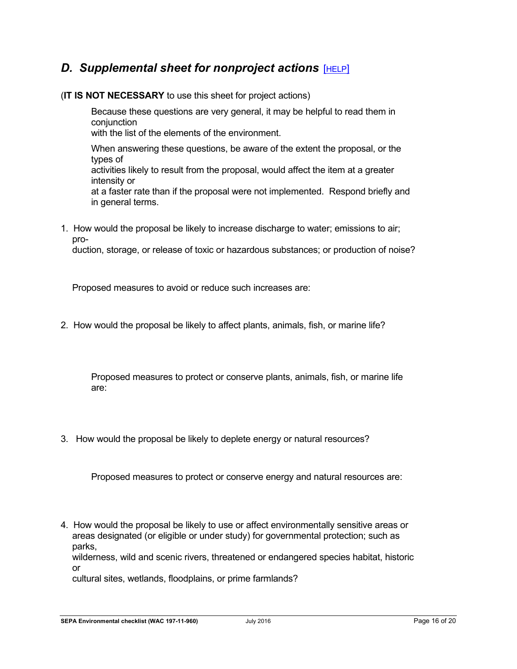# *D. Supplemental sheet for nonproject actions* [\[HELP\]](https://ecology.wa.gov/Regulations-Permits/SEPA/Environmental-review/SEPA-guidance/SEPA-checklist-guidance/SEPA-Checklist-Section-D-Non-project-actions)

#### (**IT IS NOT NECESSARY** to use this sheet for project actions)

Because these questions are very general, it may be helpful to read them in conjunction with the list of the elements of the environment.

When answering these questions, be aware of the extent the proposal, or the types of activities likely to result from the proposal, would affect the item at a greater intensity or at a faster rate than if the proposal were not implemented. Respond briefly and in general terms.

1. How would the proposal be likely to increase discharge to water; emissions to air; pro-

duction, storage, or release of toxic or hazardous substances; or production of noise?

Proposed measures to avoid or reduce such increases are:

2. How would the proposal be likely to affect plants, animals, fish, or marine life?

Proposed measures to protect or conserve plants, animals, fish, or marine life are:

3. How would the proposal be likely to deplete energy or natural resources?

Proposed measures to protect or conserve energy and natural resources are:

4. How would the proposal be likely to use or affect environmentally sensitive areas or areas designated (or eligible or under study) for governmental protection; such as parks,

wilderness, wild and scenic rivers, threatened or endangered species habitat, historic or

cultural sites, wetlands, floodplains, or prime farmlands?